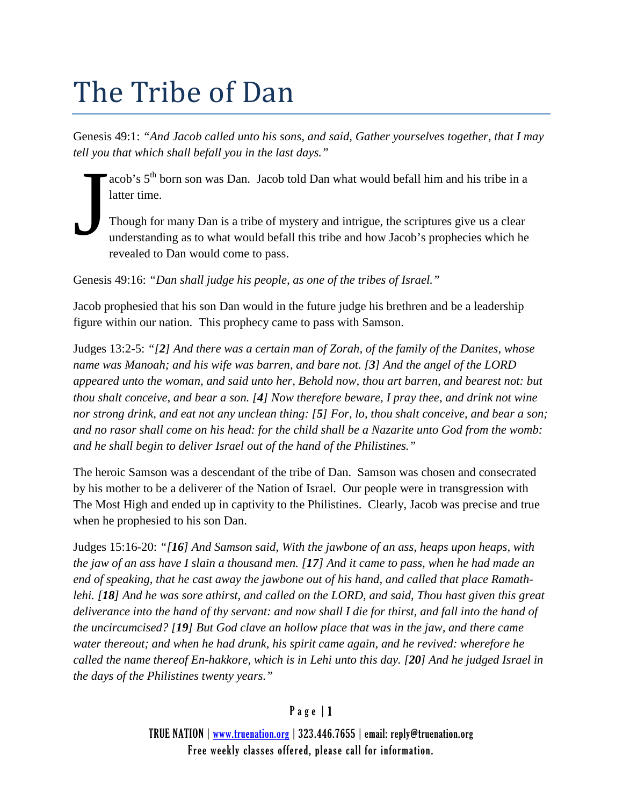# The Tribe of Dan

Genesis 49:1: *"And Jacob called unto his sons, and said, Gather yourselves together, that I may tell you that which shall befall you in the last days."*

acob's 5th born son was Dan. Jacob told Dan what would befall him and his tribe in a latter time.

Though for many Dan is a tribe of mystery and intrigue, the scriptures give us a clear understanding as to what would befall this tribe and how Jacob's prophecies which he revealed to Dan would come to pass. J

Genesis 49:16: *"Dan shall judge his people, as one of the tribes of Israel."*

Jacob prophesied that his son Dan would in the future judge his brethren and be a leadership figure within our nation. This prophecy came to pass with Samson.

Judges 13:2-5: *"[2] And there was a certain man of Zorah, of the family of the Danites, whose name was Manoah; and his wife was barren, and bare not. [3] And the angel of the LORD appeared unto the woman, and said unto her, Behold now, thou art barren, and bearest not: but thou shalt conceive, and bear a son. [4] Now therefore beware, I pray thee, and drink not wine nor strong drink, and eat not any unclean thing: [5] For, lo, thou shalt conceive, and bear a son; and no rasor shall come on his head: for the child shall be a Nazarite unto God from the womb: and he shall begin to deliver Israel out of the hand of the Philistines."*

The heroic Samson was a descendant of the tribe of Dan. Samson was chosen and consecrated by his mother to be a deliverer of the Nation of Israel. Our people were in transgression with The Most High and ended up in captivity to the Philistines. Clearly, Jacob was precise and true when he prophesied to his son Dan.

Judges 15:16-20: *"[16] And Samson said, With the jawbone of an ass, heaps upon heaps, with the jaw of an ass have I slain a thousand men. [17] And it came to pass, when he had made an end of speaking, that he cast away the jawbone out of his hand, and called that place Ramathlehi. [18] And he was sore athirst, and called on the LORD, and said, Thou hast given this great deliverance into the hand of thy servant: and now shall I die for thirst, and fall into the hand of the uncircumcised? [19] But God clave an hollow place that was in the jaw, and there came water thereout; and when he had drunk, his spirit came again, and he revived: wherefore he called the name thereof En-hakkore, which is in Lehi unto this day. [20] And he judged Israel in the days of the Philistines twenty years."*

# Page | 1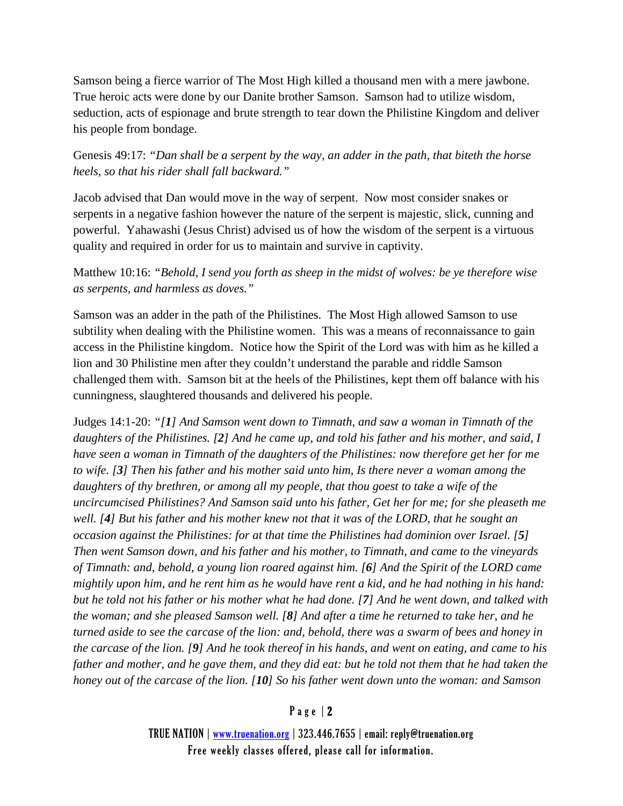Samson being a fierce warrior of The Most High killed a thousand men with a mere jawbone. True heroic acts were done by our Danite brother Samson. Samson had to utilize wisdom, seduction, acts of espionage and brute strength to tear down the Philistine Kingdom and deliver his people from bondage.

Genesis 49:17: *"Dan shall be a serpent by the way, an adder in the path, that biteth the horse heels, so that his rider shall fall backward."*

Jacob advised that Dan would move in the way of serpent. Now most consider snakes or serpents in a negative fashion however the nature of the serpent is majestic, slick, cunning and powerful. Yahawashi (Jesus Christ) advised us of how the wisdom of the serpent is a virtuous quality and required in order for us to maintain and survive in captivity.

# Matthew 10:16: *"Behold, I send you forth as sheep in the midst of wolves: be ye therefore wise as serpents, and harmless as doves."*

Samson was an adder in the path of the Philistines. The Most High allowed Samson to use subtility when dealing with the Philistine women. This was a means of reconnaissance to gain access in the Philistine kingdom. Notice how the Spirit of the Lord was with him as he killed a lion and 30 Philistine men after they couldn't understand the parable and riddle Samson challenged them with. Samson bit at the heels of the Philistines, kept them off balance with his cunningness, slaughtered thousands and delivered his people.

Judges 14:1-20: *"[1] And Samson went down to Timnath, and saw a woman in Timnath of the daughters of the Philistines. [2] And he came up, and told his father and his mother, and said, I have seen a woman in Timnath of the daughters of the Philistines: now therefore get her for me to wife. [3] Then his father and his mother said unto him, Is there never a woman among the daughters of thy brethren, or among all my people, that thou goest to take a wife of the uncircumcised Philistines? And Samson said unto his father, Get her for me; for she pleaseth me well. [4] But his father and his mother knew not that it was of the LORD, that he sought an occasion against the Philistines: for at that time the Philistines had dominion over Israel. [5] Then went Samson down, and his father and his mother, to Timnath, and came to the vineyards of Timnath: and, behold, a young lion roared against him. [6] And the Spirit of the LORD came mightily upon him, and he rent him as he would have rent a kid, and he had nothing in his hand: but he told not his father or his mother what he had done. [7] And he went down, and talked with the woman; and she pleased Samson well. [8] And after a time he returned to take her, and he turned aside to see the carcase of the lion: and, behold, there was a swarm of bees and honey in the carcase of the lion. [9] And he took thereof in his hands, and went on eating, and came to his father and mother, and he gave them, and they did eat: but he told not them that he had taken the honey out of the carcase of the lion. [10] So his father went down unto the woman: and Samson* 

# Page | 2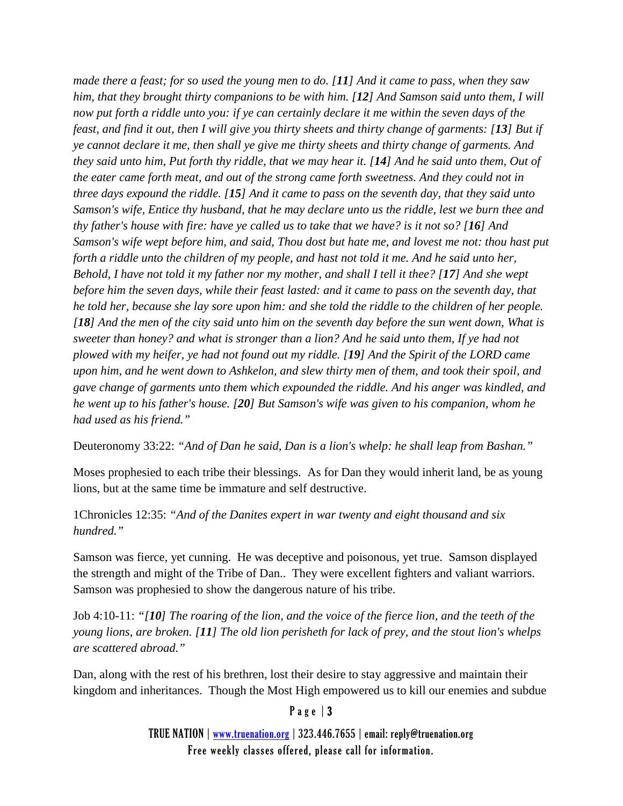*made there a feast; for so used the young men to do. [11] And it came to pass, when they saw him, that they brought thirty companions to be with him. [12] And Samson said unto them, I will now put forth a riddle unto you: if ye can certainly declare it me within the seven days of the feast, and find it out, then I will give you thirty sheets and thirty change of garments: [13] But if ye cannot declare it me, then shall ye give me thirty sheets and thirty change of garments. And they said unto him, Put forth thy riddle, that we may hear it. [14] And he said unto them, Out of the eater came forth meat, and out of the strong came forth sweetness. And they could not in three days expound the riddle. [15] And it came to pass on the seventh day, that they said unto Samson's wife, Entice thy husband, that he may declare unto us the riddle, lest we burn thee and thy father's house with fire: have ye called us to take that we have? is it not so? [16] And Samson's wife wept before him, and said, Thou dost but hate me, and lovest me not: thou hast put forth a riddle unto the children of my people, and hast not told it me. And he said unto her, Behold, I have not told it my father nor my mother, and shall I tell it thee? [17] And she wept before him the seven days, while their feast lasted: and it came to pass on the seventh day, that he told her, because she lay sore upon him: and she told the riddle to the children of her people. [18] And the men of the city said unto him on the seventh day before the sun went down, What is sweeter than honey? and what is stronger than a lion? And he said unto them, If ye had not plowed with my heifer, ye had not found out my riddle. [19] And the Spirit of the LORD came upon him, and he went down to Ashkelon, and slew thirty men of them, and took their spoil, and gave change of garments unto them which expounded the riddle. And his anger was kindled, and he went up to his father's house. [20] But Samson's wife was given to his companion, whom he had used as his friend."*

Deuteronomy 33:22: *"And of Dan he said, Dan is a lion's whelp: he shall leap from Bashan."*

Moses prophesied to each tribe their blessings. As for Dan they would inherit land, be as young lions, but at the same time be immature and self destructive.

1Chronicles 12:35: *"And of the Danites expert in war twenty and eight thousand and six hundred."*

Samson was fierce, yet cunning. He was deceptive and poisonous, yet true. Samson displayed the strength and might of the Tribe of Dan.. They were excellent fighters and valiant warriors. Samson was prophesied to show the dangerous nature of his tribe.

Job 4:10-11: *"[10] The roaring of the lion, and the voice of the fierce lion, and the teeth of the young lions, are broken. [11] The old lion perisheth for lack of prey, and the stout lion's whelps are scattered abroad."*

Dan, along with the rest of his brethren, lost their desire to stay aggressive and maintain their kingdom and inheritances. Though the Most High empowered us to kill our enemies and subdue

#### Page | 3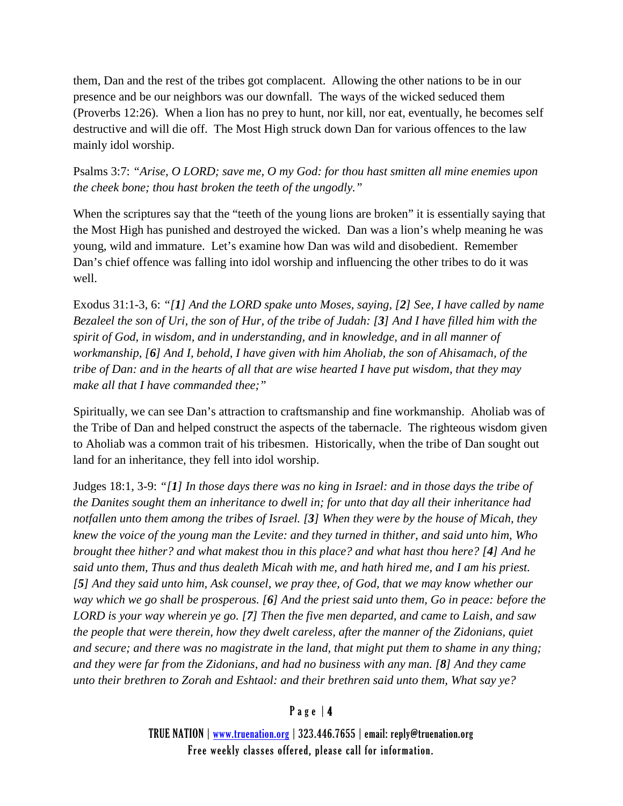them, Dan and the rest of the tribes got complacent. Allowing the other nations to be in our presence and be our neighbors was our downfall. The ways of the wicked seduced them (Proverbs 12:26). When a lion has no prey to hunt, nor kill, nor eat, eventually, he becomes self destructive and will die off. The Most High struck down Dan for various offences to the law mainly idol worship.

Psalms 3:7: *"Arise, O LORD; save me, O my God: for thou hast smitten all mine enemies upon the cheek bone; thou hast broken the teeth of the ungodly."*

When the scriptures say that the "teeth of the young lions are broken" it is essentially saying that the Most High has punished and destroyed the wicked. Dan was a lion's whelp meaning he was young, wild and immature. Let's examine how Dan was wild and disobedient. Remember Dan's chief offence was falling into idol worship and influencing the other tribes to do it was well.

Exodus 31:1-3, 6: *"[1] And the LORD spake unto Moses, saying, [2] See, I have called by name Bezaleel the son of Uri, the son of Hur, of the tribe of Judah: [3] And I have filled him with the spirit of God, in wisdom, and in understanding, and in knowledge, and in all manner of workmanship, [6] And I, behold, I have given with him Aholiab, the son of Ahisamach, of the tribe of Dan: and in the hearts of all that are wise hearted I have put wisdom, that they may make all that I have commanded thee;"*

Spiritually, we can see Dan's attraction to craftsmanship and fine workmanship. Aholiab was of the Tribe of Dan and helped construct the aspects of the tabernacle. The righteous wisdom given to Aholiab was a common trait of his tribesmen. Historically, when the tribe of Dan sought out land for an inheritance, they fell into idol worship.

Judges 18:1, 3-9: *"[1] In those days there was no king in Israel: and in those days the tribe of the Danites sought them an inheritance to dwell in; for unto that day all their inheritance had notfallen unto them among the tribes of Israel. [3] When they were by the house of Micah, they knew the voice of the young man the Levite: and they turned in thither, and said unto him, Who brought thee hither? and what makest thou in this place? and what hast thou here? [4] And he said unto them, Thus and thus dealeth Micah with me, and hath hired me, and I am his priest. [5] And they said unto him, Ask counsel, we pray thee, of God, that we may know whether our way which we go shall be prosperous. [6] And the priest said unto them, Go in peace: before the LORD is your way wherein ye go. [7] Then the five men departed, and came to Laish, and saw the people that were therein, how they dwelt careless, after the manner of the Zidonians, quiet and secure; and there was no magistrate in the land, that might put them to shame in any thing; and they were far from the Zidonians, and had no business with any man. [8] And they came unto their brethren to Zorah and Eshtaol: and their brethren said unto them, What say ye?* 

# Page | 4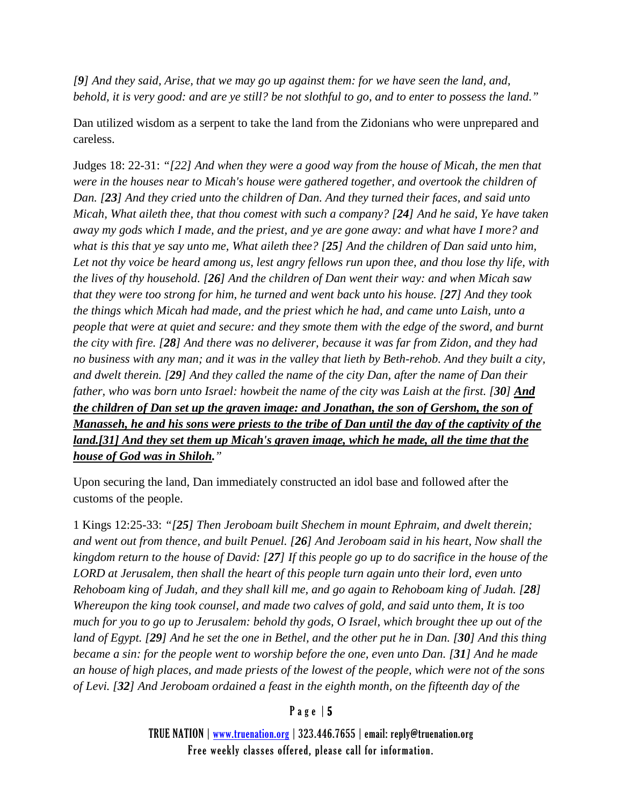*[9] And they said, Arise, that we may go up against them: for we have seen the land, and, behold, it is very good: and are ye still? be not slothful to go, and to enter to possess the land."*

Dan utilized wisdom as a serpent to take the land from the Zidonians who were unprepared and careless.

Judges 18: 22-31: *"[22] And when they were a good way from the house of Micah, the men that were in the houses near to Micah's house were gathered together, and overtook the children of Dan. [23] And they cried unto the children of Dan. And they turned their faces, and said unto Micah, What aileth thee, that thou comest with such a company? [24] And he said, Ye have taken away my gods which I made, and the priest, and ye are gone away: and what have I more? and what is this that ye say unto me, What aileth thee? [25] And the children of Dan said unto him, Let not thy voice be heard among us, lest angry fellows run upon thee, and thou lose thy life, with the lives of thy household. [26] And the children of Dan went their way: and when Micah saw that they were too strong for him, he turned and went back unto his house. [27] And they took the things which Micah had made, and the priest which he had, and came unto Laish, unto a people that were at quiet and secure: and they smote them with the edge of the sword, and burnt the city with fire. [28] And there was no deliverer, because it was far from Zidon, and they had no business with any man; and it was in the valley that lieth by Beth-rehob. And they built a city, and dwelt therein. [29] And they called the name of the city Dan, after the name of Dan their father, who was born unto Israel: howbeit the name of the city was Laish at the first. [30] And the children of Dan set up the graven image: and Jonathan, the son of Gershom, the son of Manasseh, he and his sons were priests to the tribe of Dan until the day of the captivity of the land.[31] And they set them up Micah's graven image, which he made, all the time that the house of God was in Shiloh."*

Upon securing the land, Dan immediately constructed an idol base and followed after the customs of the people.

1 Kings 12:25-33: *"[25] Then Jeroboam built Shechem in mount Ephraim, and dwelt therein; and went out from thence, and built Penuel. [26] And Jeroboam said in his heart, Now shall the kingdom return to the house of David: [27] If this people go up to do sacrifice in the house of the LORD at Jerusalem, then shall the heart of this people turn again unto their lord, even unto Rehoboam king of Judah, and they shall kill me, and go again to Rehoboam king of Judah. [28] Whereupon the king took counsel, and made two calves of gold, and said unto them, It is too much for you to go up to Jerusalem: behold thy gods, O Israel, which brought thee up out of the land of Egypt. [29] And he set the one in Bethel, and the other put he in Dan. [30] And this thing became a sin: for the people went to worship before the one, even unto Dan. [31] And he made an house of high places, and made priests of the lowest of the people, which were not of the sons of Levi. [32] And Jeroboam ordained a feast in the eighth month, on the fifteenth day of the* 

# Page | 5